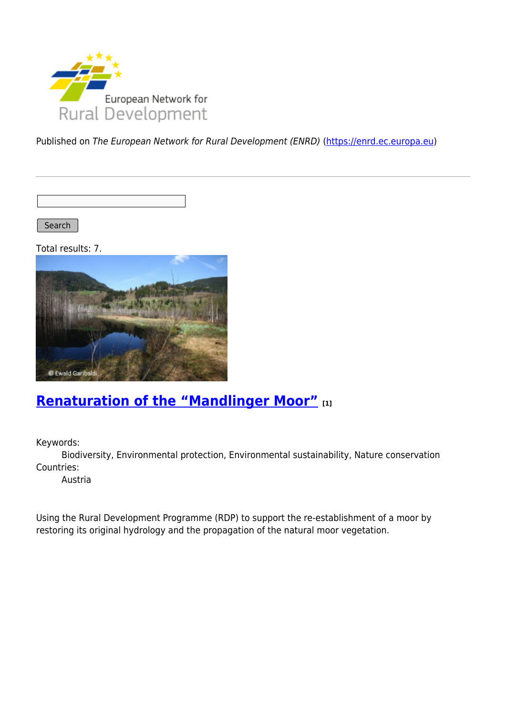

Published on The European Network for Rural Development (ENRD) [\(https://enrd.ec.europa.eu](https://enrd.ec.europa.eu))

Search |

Total results: 7.



## **[Renaturation of the "Mandlinger Moor"](https://enrd.ec.europa.eu/projects-practice/renaturation-mandlinger-moor_en) [1]**

Keywords:

Biodiversity, Environmental protection, Environmental sustainability, Nature conservation Countries:

Austria

Using the Rural Development Programme (RDP) to support the re-establishment of a moor by restoring its original hydrology and the propagation of the natural moor vegetation.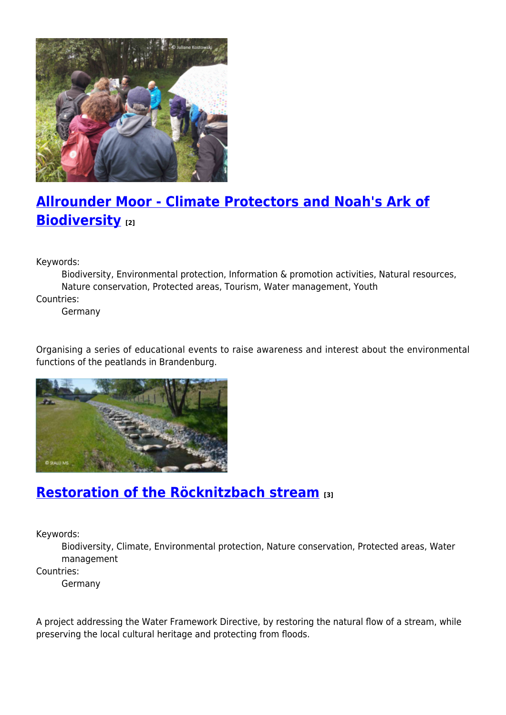

# **[Allrounder Moor - Climate Protectors and Noah's Ark of](https://enrd.ec.europa.eu/projects-practice/allrounder-moor-climate-protectors-and-noahs-ark-biodiversity_en) [Biodiversity](https://enrd.ec.europa.eu/projects-practice/allrounder-moor-climate-protectors-and-noahs-ark-biodiversity_en) [2]**

Keywords:

Biodiversity, Environmental protection, Information & promotion activities, Natural resources, Nature conservation, Protected areas, Tourism, Water management, Youth Countries:

Germany

Organising a series of educational events to raise awareness and interest about the environmental functions of the peatlands in Brandenburg.



#### **[Restoration of the Röcknitzbach stream](https://enrd.ec.europa.eu/projects-practice/restoration-rocknitzbach-stream_en) [3]**

Keywords:

Biodiversity, Climate, Environmental protection, Nature conservation, Protected areas, Water management

Countries:

Germany

A project addressing the Water Framework Directive, by restoring the natural flow of a stream, while preserving the local cultural heritage and protecting from floods.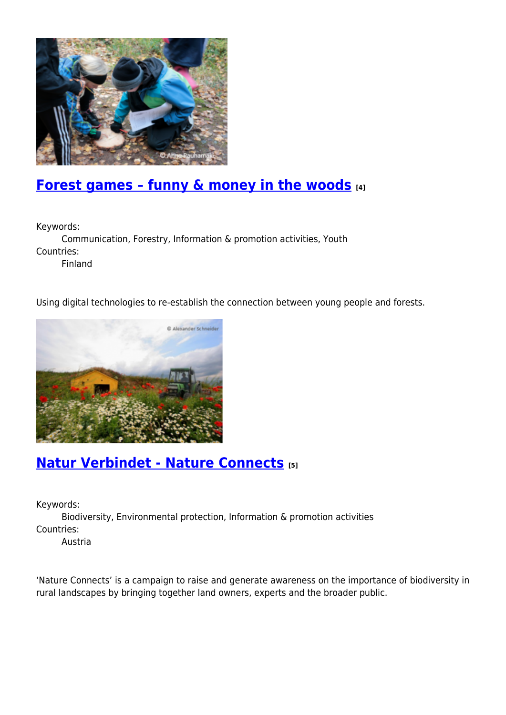

## **[Forest games – funny & money in the woods](https://enrd.ec.europa.eu/projects-practice/forest-games-funny-money-woods_en) [4]**

Keywords:

Communication, Forestry, Information & promotion activities, Youth Countries: Finland

Using digital technologies to re-establish the connection between young people and forests.



### **[Natur Verbindet - Nature Connects](https://enrd.ec.europa.eu/projects-practice/natur-verbindet-nature-connects_en) [5]**

Keywords:

Biodiversity, Environmental protection, Information & promotion activities Countries:

Austria

'Nature Connects' is a campaign to raise and generate awareness on the importance of biodiversity in rural landscapes by bringing together land owners, experts and the broader public.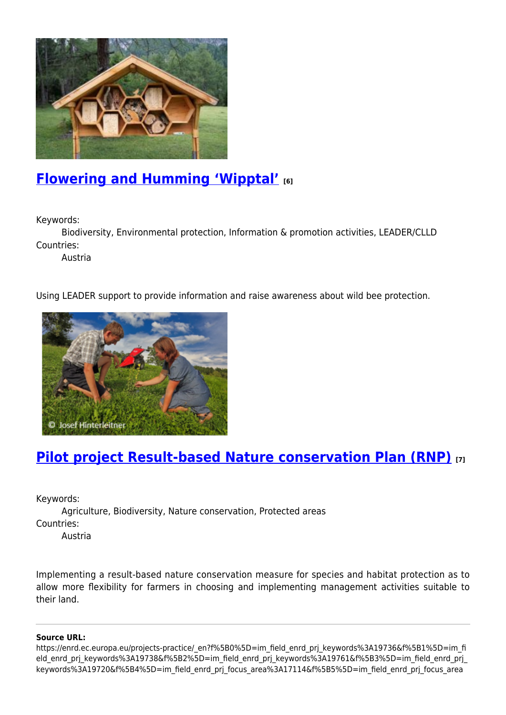

### **[Flowering and Humming 'Wipptal'](https://enrd.ec.europa.eu/projects-practice/flowering-and-humming-wipptal_en) [6]**

Keywords:

Biodiversity, Environmental protection, Information & promotion activities, LEADER/CLLD Countries:

Austria

Using LEADER support to provide information and raise awareness about wild bee protection.



#### **[Pilot project Result-based Nature conservation Plan \(RNP\)](https://enrd.ec.europa.eu/projects-practice/pilot-project-result-based-nature-conservation-plan-rnp_en) [7]**

Keywords:

Agriculture, Biodiversity, Nature conservation, Protected areas Countries:

Austria

Implementing a result-based nature conservation measure for species and habitat protection as to allow more flexibility for farmers in choosing and implementing management activities suitable to their land.

#### **Source URL:**

https://enrd.ec.europa.eu/projects-practice/\_en?f%5B0%5D=im\_field\_enrd\_prj\_keywords%3A19736&f%5B1%5D=im\_fi eld enrd prj keywords%3A19738&f%5B2%5D=im field enrd prj keywords%3A19761&f%5B3%5D=im field enrd prj keywords%3A19720&f%5B4%5D=im\_field\_enrd\_prj\_focus\_area%3A17114&f%5B5%5D=im\_field\_enrd\_prj\_focus\_area